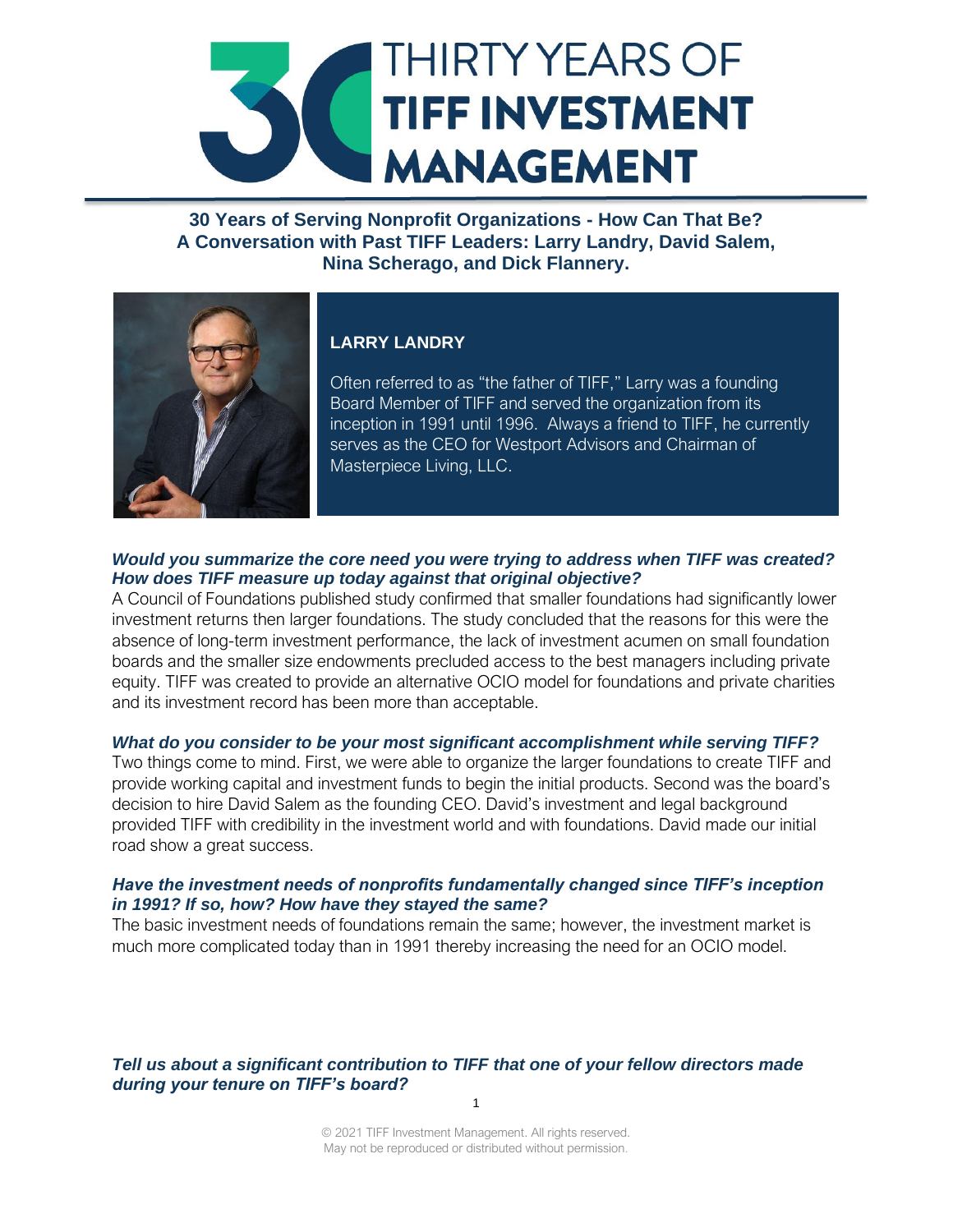

**30 Years of Serving Nonprofit Organizations - How Can That Be? A Conversation with Past TIFF Leaders: Larry Landry, David Salem, Nina Scherago, and Dick Flannery.**



# **LARRY LANDRY**

Often referred to as "the father of TIFF," Larry was a founding Board Member of TIFF and served the organization from its inception in 1991 until 1996. Always a friend to TIFF, he currently serves as the CEO for Westport Advisors and Chairman of Masterpiece Living, LLC.

# *Would you summarize the core need you were trying to address when TIFF was created? How does TIFF measure up today against that original objective?*

A Council of Foundations published study confirmed that smaller foundations had significantly lower investment returns then larger foundations. The study concluded that the reasons for this were the absence of long-term investment performance, the lack of investment acumen on small foundation boards and the smaller size endowments precluded access to the best managers including private equity. TIFF was created to provide an alternative OCIO model for foundations and private charities and its investment record has been more than acceptable.

#### *What do you consider to be your most significant accomplishment while serving TIFF?*

Two things come to mind. First, we were able to organize the larger foundations to create TIFF and provide working capital and investment funds to begin the initial products. Second was the board's decision to hire David Salem as the founding CEO. David's investment and legal background provided TIFF with credibility in the investment world and with foundations. David made our initial road show a great success.

#### *Have the investment needs of nonprofits fundamentally changed since TIFF's inception in 1991? If so, how? How have they stayed the same?*

The basic investment needs of foundations remain the same; however, the investment market is much more complicated today than in 1991 thereby increasing the need for an OCIO model.

*Tell us about a significant contribution to TIFF that one of your fellow directors made during your tenure on TIFF's board?*

> © 2021 TIFF Investment Management. All rights reserved. May not be reproduced or distributed without permission.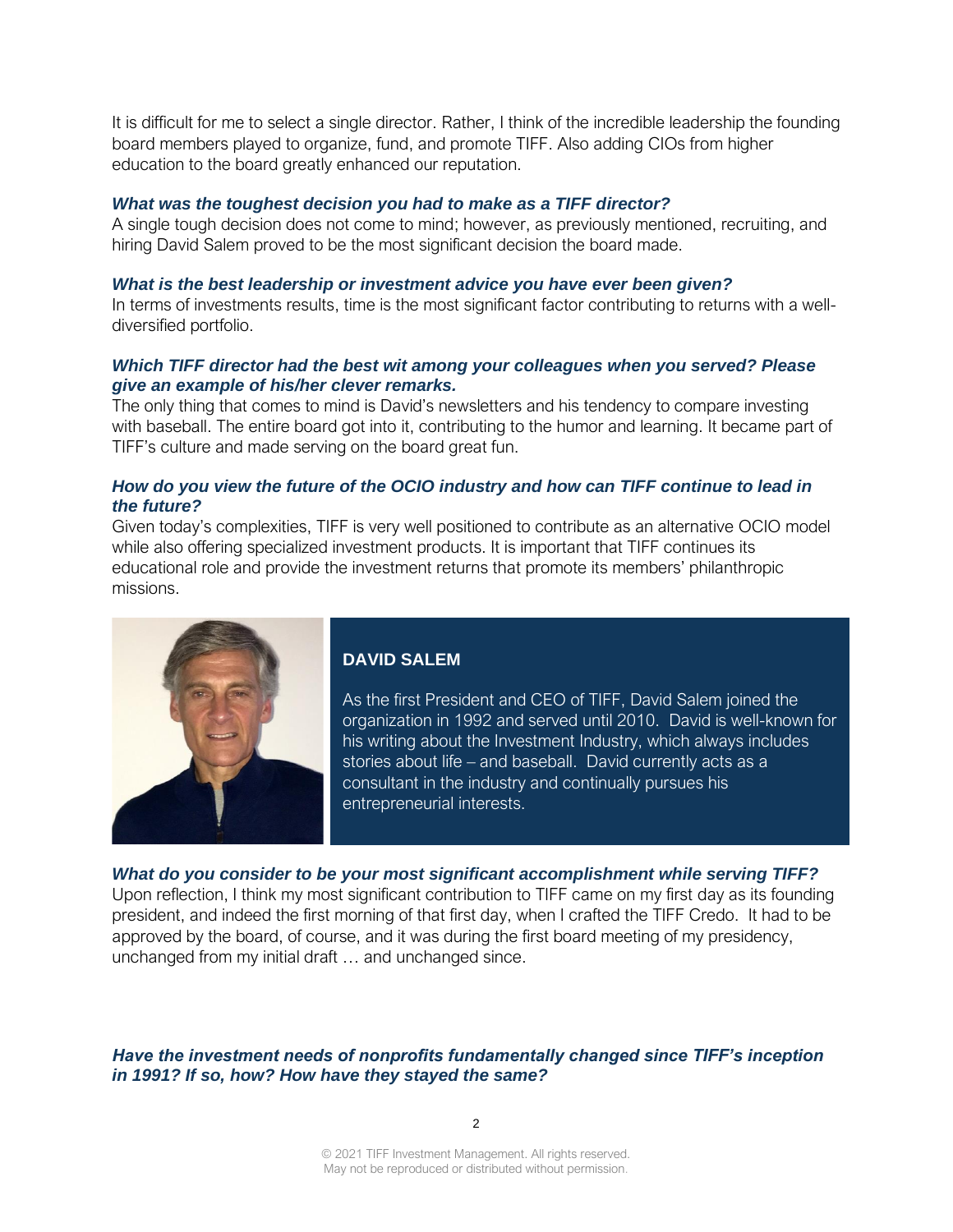It is difficult for me to select a single director. Rather, I think of the incredible leadership the founding board members played to organize, fund, and promote TIFF. Also adding CIOs from higher education to the board greatly enhanced our reputation.

#### *What was the toughest decision you had to make as a TIFF director?*

A single tough decision does not come to mind; however, as previously mentioned, recruiting, and hiring David Salem proved to be the most significant decision the board made.

#### *What is the best leadership or investment advice you have ever been given?*

In terms of investments results, time is the most significant factor contributing to returns with a welldiversified portfolio.

#### *Which TIFF director had the best wit among your colleagues when you served? Please give an example of his/her clever remarks.*

The only thing that comes to mind is David's newsletters and his tendency to compare investing with baseball. The entire board got into it, contributing to the humor and learning. It became part of TIFF's culture and made serving on the board great fun.

#### *How do you view the future of the OCIO industry and how can TIFF continue to lead in the future?*

Given today's complexities, TIFF is very well positioned to contribute as an alternative OCIO model while also offering specialized investment products. It is important that TIFF continues its educational role and provide the investment returns that promote its members' philanthropic missions.



*What do you consider to be your most significant accomplishment while serving TIFF?* Upon reflection, I think my most significant contribution to TIFF came on my first day as its founding president, and indeed the first morning of that first day, when I crafted the TIFF Credo. It had to be approved by the board, of course, and it was during the first board meeting of my presidency, unchanged from my initial draft … and unchanged since.

*Have the investment needs of nonprofits fundamentally changed since TIFF's inception in 1991? If so, how? How have they stayed the same?*

© 2021 TIFF Investment Management. All rights reserved. May not be reproduced or distributed without permission.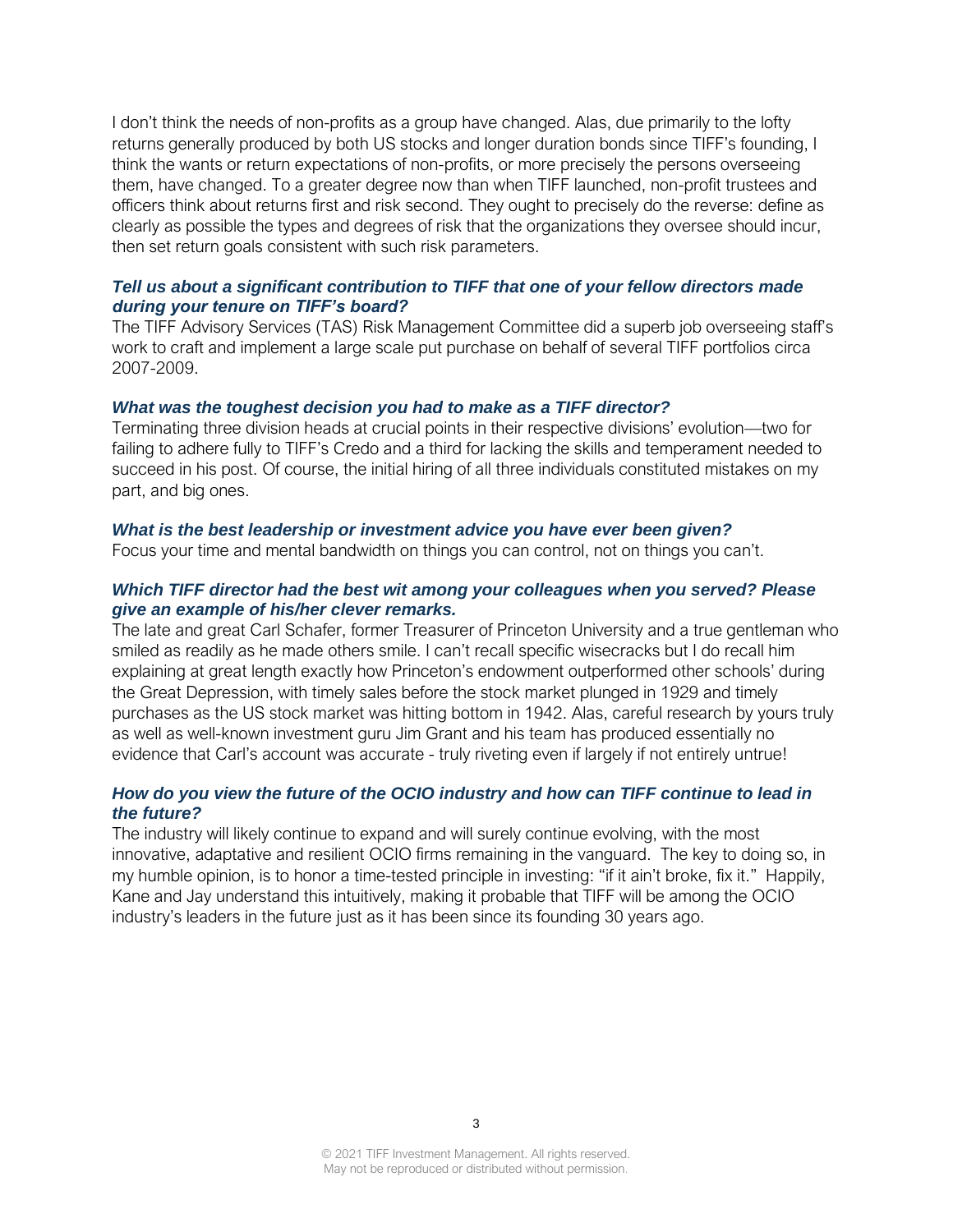I don't think the needs of non-profits as a group have changed. Alas, due primarily to the lofty returns generally produced by both US stocks and longer duration bonds since TIFF's founding, I think the wants or return expectations of non-profits, or more precisely the persons overseeing them, have changed. To a greater degree now than when TIFF launched, non-profit trustees and officers think about returns first and risk second. They ought to precisely do the reverse: define as clearly as possible the types and degrees of risk that the organizations they oversee should incur, then set return goals consistent with such risk parameters.

### *Tell us about a significant contribution to TIFF that one of your fellow directors made during your tenure on TIFF's board?*

The TIFF Advisory Services (TAS) Risk Management Committee did a superb job overseeing staff's work to craft and implement a large scale put purchase on behalf of several TIFF portfolios circa 2007-2009.

#### *What was the toughest decision you had to make as a TIFF director?*

Terminating three division heads at crucial points in their respective divisions' evolution—two for failing to adhere fully to TIFF's Credo and a third for lacking the skills and temperament needed to succeed in his post. Of course, the initial hiring of all three individuals constituted mistakes on my part, and big ones.

#### *What is the best leadership or investment advice you have ever been given?*

Focus your time and mental bandwidth on things you can control, not on things you can't.

## *Which TIFF director had the best wit among your colleagues when you served? Please give an example of his/her clever remarks.*

The late and great Carl Schafer, former Treasurer of Princeton University and a true gentleman who smiled as readily as he made others smile. I can't recall specific wisecracks but I do recall him explaining at great length exactly how Princeton's endowment outperformed other schools' during the Great Depression, with timely sales before the stock market plunged in 1929 and timely purchases as the US stock market was hitting bottom in 1942. Alas, careful research by yours truly as well as well-known investment guru Jim Grant and his team has produced essentially no evidence that Carl's account was accurate - truly riveting even if largely if not entirely untrue!

#### *How do you view the future of the OCIO industry and how can TIFF continue to lead in the future?*

The industry will likely continue to expand and will surely continue evolving, with the most innovative, adaptative and resilient OCIO firms remaining in the vanguard. The key to doing so, in my humble opinion, is to honor a time-tested principle in investing: "if it ain't broke, fix it." Happily, Kane and Jay understand this intuitively, making it probable that TIFF will be among the OCIO industry's leaders in the future just as it has been since its founding 30 years ago.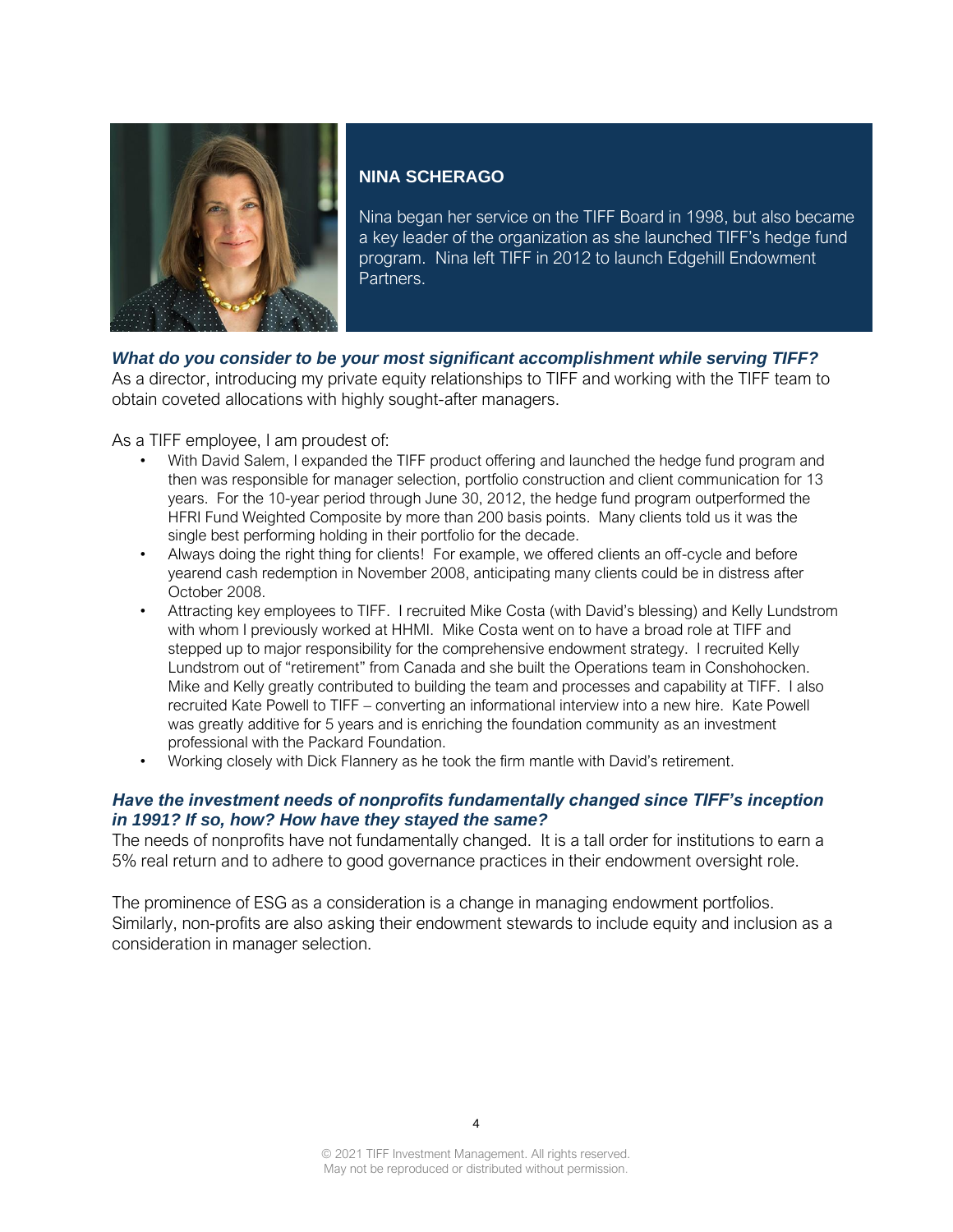

# **NINA SCHERAGO**

Nina began her service on the TIFF Board in 1998, but also became a key leader of the organization as she launched TIFF's hedge fund program. Nina left TIFF in 2012 to launch Edgehill Endowment Partners.

# *What do you consider to be your most significant accomplishment while serving TIFF?*

As a director, introducing my private equity relationships to TIFF and working with the TIFF team to obtain coveted allocations with highly sought-after managers.

As a TIFF employee, I am proudest of:

- With David Salem, I expanded the TIFF product offering and launched the hedge fund program and then was responsible for manager selection, portfolio construction and client communication for 13 years. For the 10-year period through June 30, 2012, the hedge fund program outperformed the HFRI Fund Weighted Composite by more than 200 basis points. Many clients told us it was the single best performing holding in their portfolio for the decade.
- Always doing the right thing for clients! For example, we offered clients an off-cycle and before yearend cash redemption in November 2008, anticipating many clients could be in distress after October 2008.
- Attracting key employees to TIFF. I recruited Mike Costa (with David's blessing) and Kelly Lundstrom with whom I previously worked at HHMI. Mike Costa went on to have a broad role at TIFF and stepped up to major responsibility for the comprehensive endowment strategy. I recruited Kelly Lundstrom out of "retirement" from Canada and she built the Operations team in Conshohocken. Mike and Kelly greatly contributed to building the team and processes and capability at TIFF. I also recruited Kate Powell to TIFF – converting an informational interview into a new hire. Kate Powell was greatly additive for 5 years and is enriching the foundation community as an investment professional with the Packard Foundation.
- Working closely with Dick Flannery as he took the firm mantle with David's retirement.

# *Have the investment needs of nonprofits fundamentally changed since TIFF's inception in 1991? If so, how? How have they stayed the same?*

The needs of nonprofits have not fundamentally changed. It is a tall order for institutions to earn a 5% real return and to adhere to good governance practices in their endowment oversight role.

The prominence of ESG as a consideration is a change in managing endowment portfolios. Similarly, non-profits are also asking their endowment stewards to include equity and inclusion as a consideration in manager selection.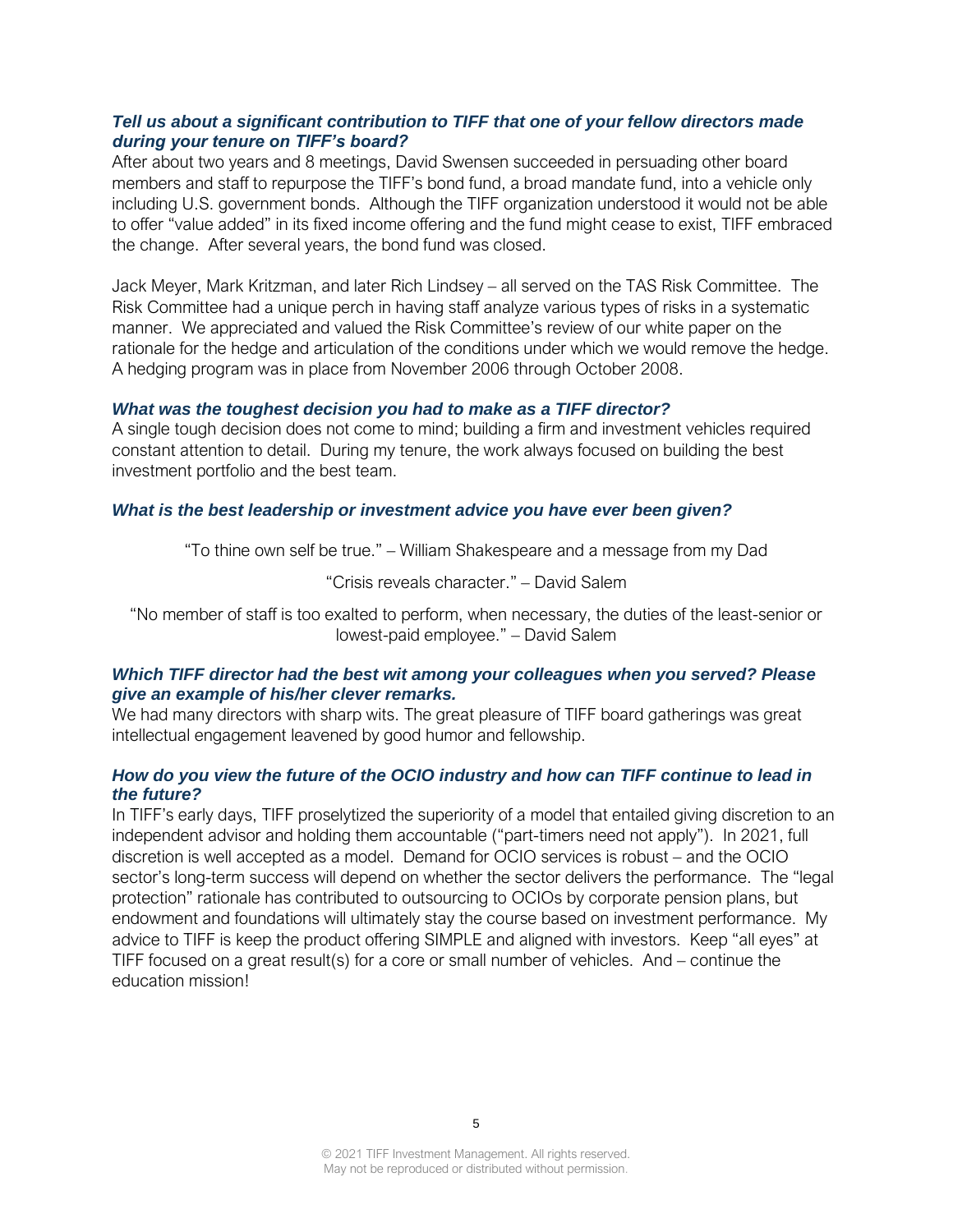## *Tell us about a significant contribution to TIFF that one of your fellow directors made during your tenure on TIFF's board?*

After about two years and 8 meetings, David Swensen succeeded in persuading other board members and staff to repurpose the TIFF's bond fund, a broad mandate fund, into a vehicle only including U.S. government bonds. Although the TIFF organization understood it would not be able to offer "value added" in its fixed income offering and the fund might cease to exist, TIFF embraced the change. After several years, the bond fund was closed.

Jack Meyer, Mark Kritzman, and later Rich Lindsey – all served on the TAS Risk Committee. The Risk Committee had a unique perch in having staff analyze various types of risks in a systematic manner. We appreciated and valued the Risk Committee's review of our white paper on the rationale for the hedge and articulation of the conditions under which we would remove the hedge. A hedging program was in place from November 2006 through October 2008.

#### *What was the toughest decision you had to make as a TIFF director?*

A single tough decision does not come to mind; building a firm and investment vehicles required constant attention to detail. During my tenure, the work always focused on building the best investment portfolio and the best team.

#### *What is the best leadership or investment advice you have ever been given?*

"To thine own self be true." – William Shakespeare and a message from my Dad

"Crisis reveals character." – David Salem

"No member of staff is too exalted to perform, when necessary, the duties of the least-senior or lowest-paid employee." – David Salem

#### *Which TIFF director had the best wit among your colleagues when you served? Please give an example of his/her clever remarks.*

We had many directors with sharp wits. The great pleasure of TIFF board gatherings was great intellectual engagement leavened by good humor and fellowship.

#### *How do you view the future of the OCIO industry and how can TIFF continue to lead in the future?*

In TIFF's early days, TIFF proselytized the superiority of a model that entailed giving discretion to an independent advisor and holding them accountable ("part-timers need not apply"). In 2021, full discretion is well accepted as a model. Demand for OCIO services is robust – and the OCIO sector's long-term success will depend on whether the sector delivers the performance. The "legal protection" rationale has contributed to outsourcing to OCIOs by corporate pension plans, but endowment and foundations will ultimately stay the course based on investment performance. My advice to TIFF is keep the product offering SIMPLE and aligned with investors. Keep "all eyes" at TIFF focused on a great result(s) for a core or small number of vehicles. And – continue the education mission!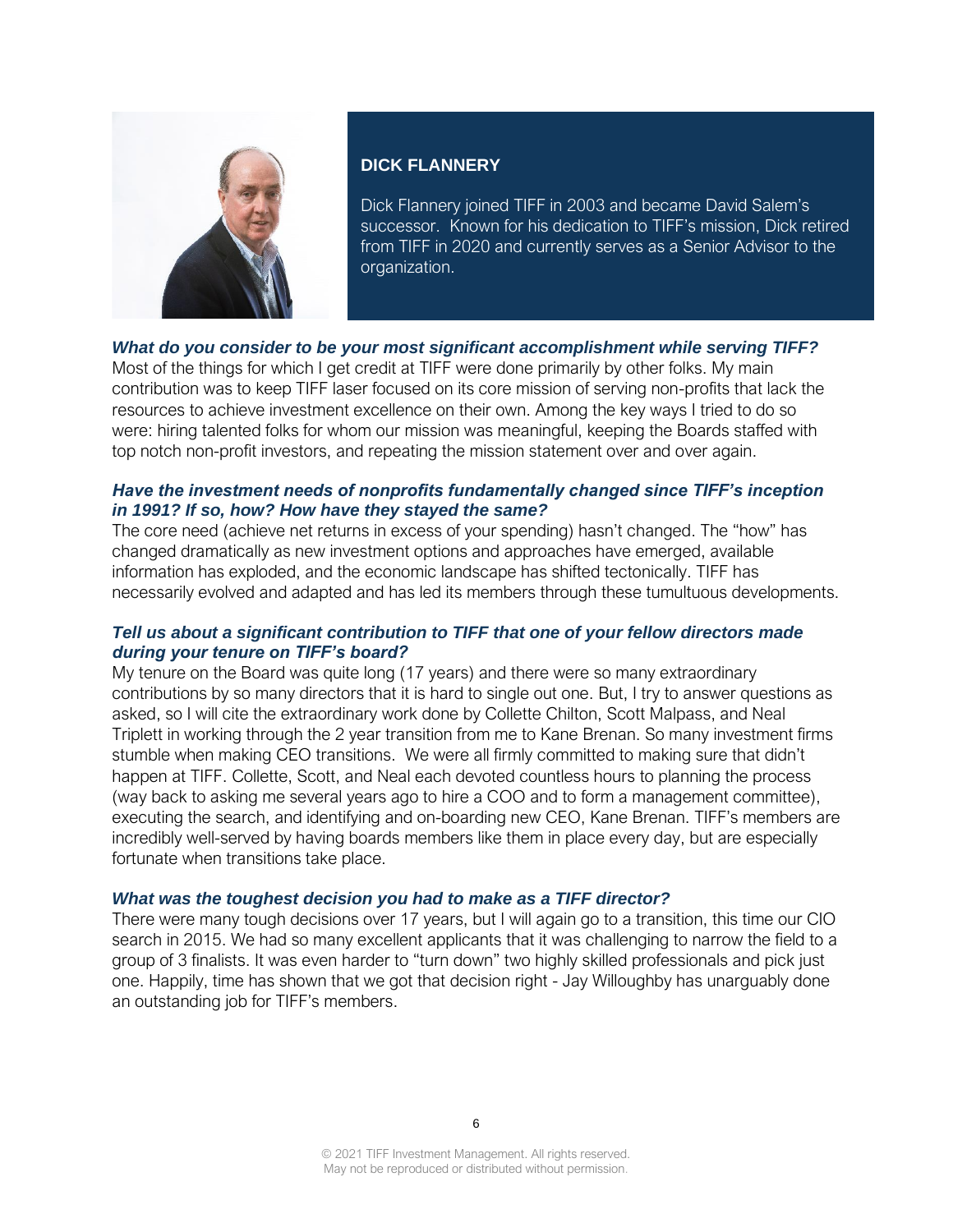

## **DICK FLANNERY**

Dick Flannery joined TIFF in 2003 and became David Salem's successor. Known for his dedication to TIFF's mission, Dick retired from TIFF in 2020 and currently serves as a Senior Advisor to the organization.

# *What do you consider to be your most significant accomplishment while serving TIFF?*

Most of the things for which I get credit at TIFF were done primarily by other folks. My main contribution was to keep TIFF laser focused on its core mission of serving non-profits that lack the resources to achieve investment excellence on their own. Among the key ways I tried to do so were: hiring talented folks for whom our mission was meaningful, keeping the Boards staffed with top notch non-profit investors, and repeating the mission statement over and over again.

## *Have the investment needs of nonprofits fundamentally changed since TIFF's inception in 1991? If so, how? How have they stayed the same?*

The core need (achieve net returns in excess of your spending) hasn't changed. The "how" has changed dramatically as new investment options and approaches have emerged, available information has exploded, and the economic landscape has shifted tectonically. TIFF has necessarily evolved and adapted and has led its members through these tumultuous developments.

# *Tell us about a significant contribution to TIFF that one of your fellow directors made during your tenure on TIFF's board?*

My tenure on the Board was quite long (17 years) and there were so many extraordinary contributions by so many directors that it is hard to single out one. But, I try to answer questions as asked, so I will cite the extraordinary work done by Collette Chilton, Scott Malpass, and Neal Triplett in working through the 2 year transition from me to Kane Brenan. So many investment firms stumble when making CEO transitions. We were all firmly committed to making sure that didn't happen at TIFF. Collette, Scott, and Neal each devoted countless hours to planning the process (way back to asking me several years ago to hire a COO and to form a management committee), executing the search, and identifying and on-boarding new CEO, Kane Brenan. TIFF's members are incredibly well-served by having boards members like them in place every day, but are especially fortunate when transitions take place.

#### *What was the toughest decision you had to make as a TIFF director?*

There were many tough decisions over 17 years, but I will again go to a transition, this time our CIO search in 2015. We had so many excellent applicants that it was challenging to narrow the field to a group of 3 finalists. It was even harder to "turn down" two highly skilled professionals and pick just one. Happily, time has shown that we got that decision right - Jay Willoughby has unarguably done an outstanding job for TIFF's members.